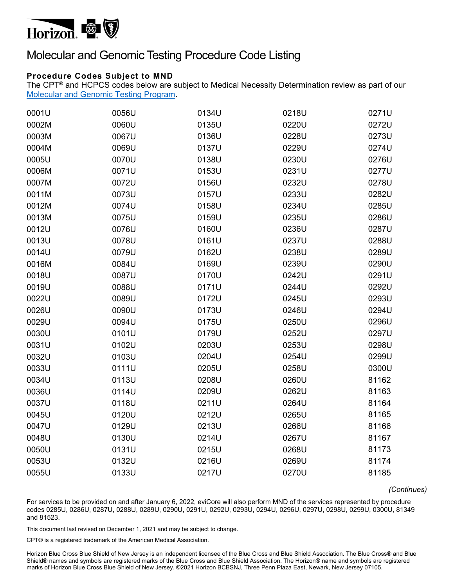

## Molecular and Genomic Testing Procedure Code Listing

## **Procedure Codes Subject to MND**

The CPT® and HCPCS codes below are subject to Medical Necessity Determination review as part of our [Molecular and Genomic Testing Program.](https://www.horizonblue.com/providers/products-programs/evicore-health-care/molecular-and-genomic-testing-program) 

| 0001U | 0056U | 0134U | 0218U | 0271U |
|-------|-------|-------|-------|-------|
| 0002M | 0060U | 0135U | 0220U | 0272U |
| 0003M | 0067U | 0136U | 0228U | 0273U |
| 0004M | 0069U | 0137U | 0229U | 0274U |
| 0005U | 0070U | 0138U | 0230U | 0276U |
| 0006M | 0071U | 0153U | 0231U | 0277U |
| 0007M | 0072U | 0156U | 0232U | 0278U |
| 0011M | 0073U | 0157U | 0233U | 0282U |
| 0012M | 0074U | 0158U | 0234U | 0285U |
| 0013M | 0075U | 0159U | 0235U | 0286U |
| 0012U | 0076U | 0160U | 0236U | 0287U |
| 0013U | 0078U | 0161U | 0237U | 0288U |
| 0014U | 0079U | 0162U | 0238U | 0289U |
| 0016M | 0084U | 0169U | 0239U | 0290U |
| 0018U | 0087U | 0170U | 0242U | 0291U |
| 0019U | 0088U | 0171U | 0244U | 0292U |
| 0022U | 0089U | 0172U | 0245U | 0293U |
| 0026U | 0090U | 0173U | 0246U | 0294U |
| 0029U | 0094U | 0175U | 0250U | 0296U |
| 0030U | 0101U | 0179U | 0252U | 0297U |
| 0031U | 0102U | 0203U | 0253U | 0298U |
| 0032U | 0103U | 0204U | 0254U | 0299U |
| 0033U | 0111U | 0205U | 0258U | 0300U |
| 0034U | 0113U | 0208U | 0260U | 81162 |
| 0036U | 0114U | 0209U | 0262U | 81163 |
| 0037U | 0118U | 0211U | 0264U | 81164 |
| 0045U | 0120U | 0212U | 0265U | 81165 |
| 0047U | 0129U | 0213U | 0266U | 81166 |
| 0048U | 0130U | 0214U | 0267U | 81167 |
| 0050U | 0131U | 0215U | 0268U | 81173 |
| 0053U | 0132U | 0216U | 0269U | 81174 |
| 0055U | 0133U | 0217U | 0270U | 81185 |

*(Continues)* 

For services to be provided on and after January 6, 2022, eviCore will also perform MND of the services represented by procedure codes 0285U, 0286U, 0287U, 0288U, 0289U, 0290U, 0291U, 0292U, 0293U, 0294U, 0296U, 0297U, 0298U, 0299U, 0300U, 81349 and 81523.

This document last revised on December 1, 2021 and may be subject to change.

CPT® is a registered trademark of the American Medical Association.

Horizon Blue Cross Blue Shield of New Jersey is an independent licensee of the Blue Cross and Blue Shield Association. The Blue Cross® and Blue Shield® names and symbols are registered marks of the Blue Cross and Blue Shield Association. The Horizon® name and symbols are registered marks of Horizon Blue Cross Blue Shield of New Jersey. ©2021 Horizon BCBSNJ, Three Penn Plaza East, Newark, New Jersey 07105.